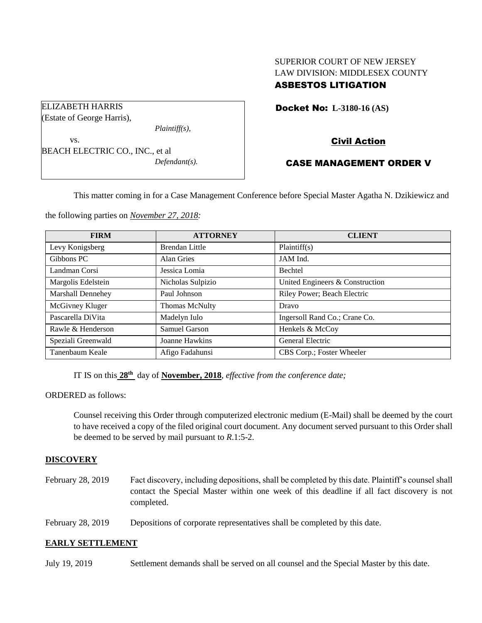# SUPERIOR COURT OF NEW JERSEY LAW DIVISION: MIDDLESEX COUNTY ASBESTOS LITIGATION

Docket No: **L-3180-16 (AS)** 

Civil Action

# CASE MANAGEMENT ORDER V

This matter coming in for a Case Management Conference before Special Master Agatha N. Dzikiewicz and

the following parties on *November 27, 2018:*

BEACH ELECTRIC CO., INC., et al

*Plaintiff(s),*

*Defendant(s).*

| <b>FIRM</b>              | <b>ATTORNEY</b>       | <b>CLIENT</b>                   |
|--------------------------|-----------------------|---------------------------------|
| Levy Konigsberg          | <b>Brendan Little</b> | Plaintiff(s)                    |
| Gibbons PC               | Alan Gries            | JAM Ind.                        |
| Landman Corsi            | Jessica Lomia         | <b>Bechtel</b>                  |
| Margolis Edelstein       | Nicholas Sulpizio     | United Engineers & Construction |
| <b>Marshall Dennehey</b> | Paul Johnson          | Riley Power; Beach Electric     |
| McGivney Kluger          | <b>Thomas McNulty</b> | Dravo                           |
| Pascarella DiVita        | Madelyn Iulo          | Ingersoll Rand Co.; Crane Co.   |
| Rawle & Henderson        | Samuel Garson         | Henkels & McCoy                 |
| Speziali Greenwald       | Joanne Hawkins        | General Electric                |
| Tanenbaum Keale          | Afigo Fadahunsi       | CBS Corp.; Foster Wheeler       |

IT IS on this **28 th** day of **November, 2018**, *effective from the conference date;*

ORDERED as follows:

ELIZABETH HARRIS (Estate of George Harris),

vs.

Counsel receiving this Order through computerized electronic medium (E-Mail) shall be deemed by the court to have received a copy of the filed original court document. Any document served pursuant to this Order shall be deemed to be served by mail pursuant to *R*.1:5-2.

#### **DISCOVERY**

February 28, 2019 Fact discovery, including depositions, shall be completed by this date. Plaintiff's counsel shall contact the Special Master within one week of this deadline if all fact discovery is not completed.

February 28, 2019 Depositions of corporate representatives shall be completed by this date.

#### **EARLY SETTLEMENT**

July 19, 2019 Settlement demands shall be served on all counsel and the Special Master by this date.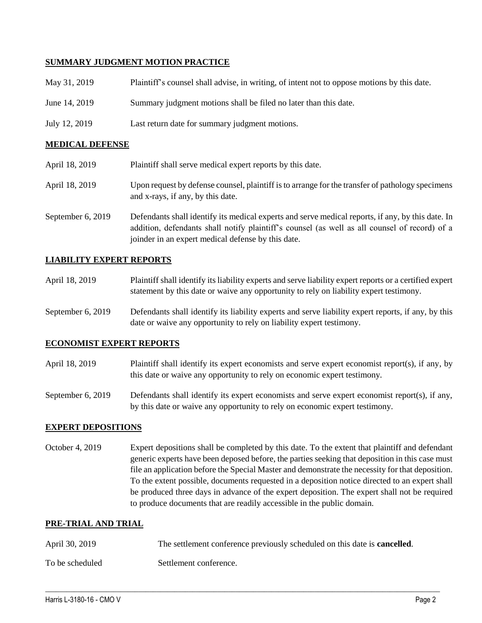### **SUMMARY JUDGMENT MOTION PRACTICE**

| May 31, 2019  | Plaintiff's counsel shall advise, in writing, of intent not to oppose motions by this date. |
|---------------|---------------------------------------------------------------------------------------------|
| June 14, 2019 | Summary judgment motions shall be filed no later than this date.                            |
| July 12, 2019 | Last return date for summary judgment motions.                                              |

#### **MEDICAL DEFENSE**

| April 18, 2019    | Plaintiff shall serve medical expert reports by this date.                                                                                                                                                                                               |
|-------------------|----------------------------------------------------------------------------------------------------------------------------------------------------------------------------------------------------------------------------------------------------------|
| April 18, 2019    | Upon request by defense counsel, plaintiff is to arrange for the transfer of pathology specimens<br>and x-rays, if any, by this date.                                                                                                                    |
| September 6, 2019 | Defendants shall identify its medical experts and serve medical reports, if any, by this date. In<br>addition, defendants shall notify plaintiff's counsel (as well as all counsel of record) of a<br>joinder in an expert medical defense by this date. |

## **LIABILITY EXPERT REPORTS**

| April 18, 2019 | Plaintiff shall identify its liability experts and serve liability expert reports or a certified expert |
|----------------|---------------------------------------------------------------------------------------------------------|
|                | statement by this date or waive any opportunity to rely on liability expert testimony.                  |

September 6, 2019 Defendants shall identify its liability experts and serve liability expert reports, if any, by this date or waive any opportunity to rely on liability expert testimony.

#### **ECONOMIST EXPERT REPORTS**

April 18, 2019 Plaintiff shall identify its expert economists and serve expert economist report(s), if any, by this date or waive any opportunity to rely on economic expert testimony.

September 6, 2019 Defendants shall identify its expert economists and serve expert economist report(s), if any, by this date or waive any opportunity to rely on economic expert testimony.

#### **EXPERT DEPOSITIONS**

October 4, 2019 Expert depositions shall be completed by this date. To the extent that plaintiff and defendant generic experts have been deposed before, the parties seeking that deposition in this case must file an application before the Special Master and demonstrate the necessity for that deposition. To the extent possible, documents requested in a deposition notice directed to an expert shall be produced three days in advance of the expert deposition. The expert shall not be required to produce documents that are readily accessible in the public domain.

### **PRE-TRIAL AND TRIAL**

| April 30, 2019  | The settlement conference previously scheduled on this date is <b>cancelled</b> . |
|-----------------|-----------------------------------------------------------------------------------|
| To be scheduled | Settlement conference.                                                            |

 $\_$  ,  $\_$  ,  $\_$  ,  $\_$  ,  $\_$  ,  $\_$  ,  $\_$  ,  $\_$  ,  $\_$  ,  $\_$  ,  $\_$  ,  $\_$  ,  $\_$  ,  $\_$  ,  $\_$  ,  $\_$  ,  $\_$  ,  $\_$  ,  $\_$  ,  $\_$  ,  $\_$  ,  $\_$  ,  $\_$  ,  $\_$  ,  $\_$  ,  $\_$  ,  $\_$  ,  $\_$  ,  $\_$  ,  $\_$  ,  $\_$  ,  $\_$  ,  $\_$  ,  $\_$  ,  $\_$  ,  $\_$  ,  $\_$  ,